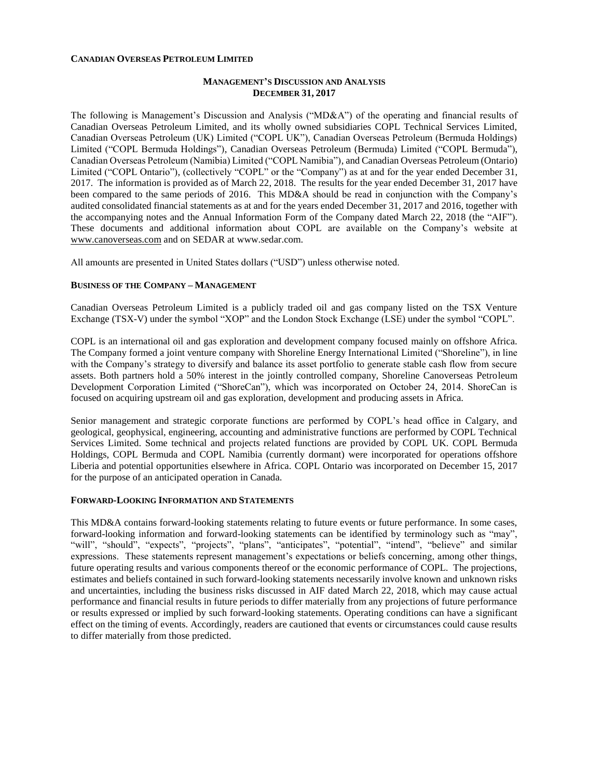#### **CANADIAN OVERSEAS PETROLEUM LIMITED**

### **MANAGEMENT'S DISCUSSION AND ANALYSIS DECEMBER 31, 2017**

The following is Management's Discussion and Analysis ("MD&A") of the operating and financial results of Canadian Overseas Petroleum Limited, and its wholly owned subsidiaries COPL Technical Services Limited, Canadian Overseas Petroleum (UK) Limited ("COPL UK"), Canadian Overseas Petroleum (Bermuda Holdings) Limited ("COPL Bermuda Holdings"), Canadian Overseas Petroleum (Bermuda) Limited ("COPL Bermuda"), Canadian Overseas Petroleum (Namibia) Limited ("COPL Namibia"), and Canadian Overseas Petroleum (Ontario) Limited ("COPL Ontario"), (collectively "COPL" or the "Company") as at and for the year ended December 31, 2017. The information is provided as of March 22, 2018. The results for the year ended December 31, 2017 have been compared to the same periods of 2016. This MD&A should be read in conjunction with the Company's audited consolidated financial statements as at and for the years ended December 31, 2017 and 2016, together with the accompanying notes and the Annual Information Form of the Company dated March 22, 2018 (the "AIF"). These documents and additional information about COPL are available on the Company's website at [www.canoverseas.com](http://www.canoverseas.com/) and on SEDAR at [www.sedar.com.](http://www.sedar.com/)

All amounts are presented in United States dollars ("USD") unless otherwise noted.

#### **BUSINESS OF THE COMPANY – MANAGEMENT**

Canadian Overseas Petroleum Limited is a publicly traded oil and gas company listed on the TSX Venture Exchange (TSX-V) under the symbol "XOP" and the London Stock Exchange (LSE) under the symbol "COPL".

COPL is an international oil and gas exploration and development company focused mainly on offshore Africa. The Company formed a joint venture company with Shoreline Energy International Limited ("Shoreline"), in line with the Company's strategy to diversify and balance its asset portfolio to generate stable cash flow from secure assets. Both partners hold a 50% interest in the jointly controlled company, Shoreline Canoverseas Petroleum Development Corporation Limited ("ShoreCan"), which was incorporated on October 24, 2014. ShoreCan is focused on acquiring upstream oil and gas exploration, development and producing assets in Africa.

Senior management and strategic corporate functions are performed by COPL's head office in Calgary, and geological, geophysical, engineering, accounting and administrative functions are performed by COPL Technical Services Limited. Some technical and projects related functions are provided by COPL UK. COPL Bermuda Holdings, COPL Bermuda and COPL Namibia (currently dormant) were incorporated for operations offshore Liberia and potential opportunities elsewhere in Africa. COPL Ontario was incorporated on December 15, 2017 for the purpose of an anticipated operation in Canada.

#### **FORWARD-LOOKING INFORMATION AND STATEMENTS**

This MD&A contains forward-looking statements relating to future events or future performance. In some cases, forward-looking information and forward-looking statements can be identified by terminology such as "may", "will", "should", "expects", "projects", "plans", "anticipates", "potential", "intend", "believe" and similar expressions. These statements represent management's expectations or beliefs concerning, among other things, future operating results and various components thereof or the economic performance of COPL. The projections, estimates and beliefs contained in such forward-looking statements necessarily involve known and unknown risks and uncertainties, including the business risks discussed in AIF dated March 22, 2018, which may cause actual performance and financial results in future periods to differ materially from any projections of future performance or results expressed or implied by such forward-looking statements. Operating conditions can have a significant effect on the timing of events. Accordingly, readers are cautioned that events or circumstances could cause results to differ materially from those predicted.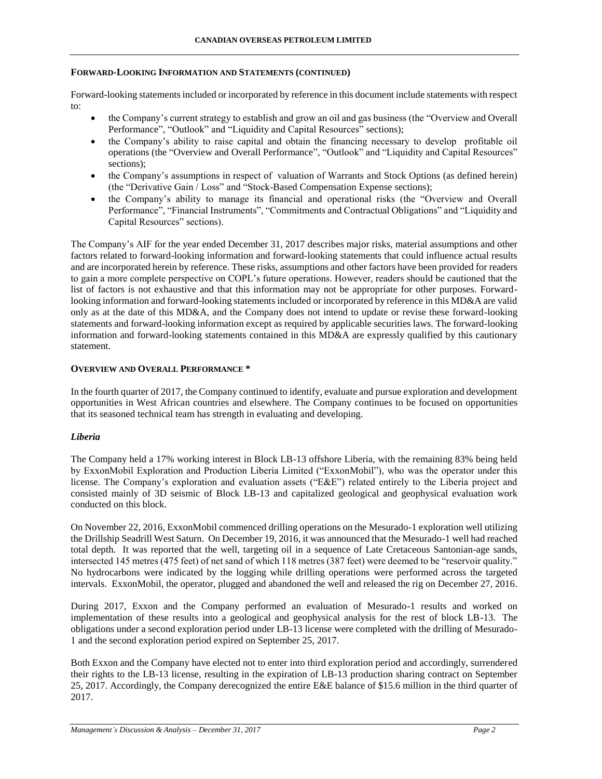### **FORWARD-LOOKING INFORMATION AND STATEMENTS (CONTINUED)**

Forward-looking statements included or incorporated by reference in this document include statements with respect to:

- the Company's current strategy to establish and grow an oil and gas business (the "Overview and Overall Performance", "Outlook" and "Liquidity and Capital Resources" sections);
- the Company's ability to raise capital and obtain the financing necessary to develop profitable oil operations (the "Overview and Overall Performance", "Outlook" and "Liquidity and Capital Resources" sections);
- the Company's assumptions in respect of valuation of Warrants and Stock Options (as defined herein) (the "Derivative Gain / Loss" and "Stock-Based Compensation Expense sections);
- the Company's ability to manage its financial and operational risks (the "Overview and Overall Performance", "Financial Instruments", "Commitments and Contractual Obligations" and "Liquidity and Capital Resources" sections).

The Company's AIF for the year ended December 31, 2017 describes major risks, material assumptions and other factors related to forward-looking information and forward-looking statements that could influence actual results and are incorporated herein by reference. These risks, assumptions and other factors have been provided for readers to gain a more complete perspective on COPL's future operations. However, readers should be cautioned that the list of factors is not exhaustive and that this information may not be appropriate for other purposes. Forwardlooking information and forward-looking statements included or incorporated by reference in this MD&A are valid only as at the date of this MD&A, and the Company does not intend to update or revise these forward-looking statements and forward-looking information except as required by applicable securities laws. The forward-looking information and forward-looking statements contained in this MD&A are expressly qualified by this cautionary statement.

### **OVERVIEW AND OVERALL PERFORMANCE \***

In the fourth quarter of 2017, the Company continued to identify, evaluate and pursue exploration and development opportunities in West African countries and elsewhere. The Company continues to be focused on opportunities that its seasoned technical team has strength in evaluating and developing.

## *Liberia*

The Company held a 17% working interest in Block LB-13 offshore Liberia, with the remaining 83% being held by ExxonMobil Exploration and Production Liberia Limited ("ExxonMobil"), who was the operator under this license. The Company's exploration and evaluation assets ("E&E") related entirely to the Liberia project and consisted mainly of 3D seismic of Block LB-13 and capitalized geological and geophysical evaluation work conducted on this block.

On November 22, 2016, ExxonMobil commenced drilling operations on the Mesurado-1 exploration well utilizing the Drillship Seadrill West Saturn. On December 19, 2016, it was announced that the Mesurado-1 well had reached total depth. It was reported that the well, targeting oil in a sequence of Late Cretaceous Santonian-age sands, intersected 145 metres (475 feet) of net sand of which 118 metres (387 feet) were deemed to be "reservoir quality." No hydrocarbons were indicated by the logging while drilling operations were performed across the targeted intervals. ExxonMobil, the operator, plugged and abandoned the well and released the rig on December 27, 2016.

During 2017, Exxon and the Company performed an evaluation of Mesurado-1 results and worked on implementation of these results into a geological and geophysical analysis for the rest of block LB-13. The obligations under a second exploration period under LB-13 license were completed with the drilling of Mesurado-1 and the second exploration period expired on September 25, 2017.

Both Exxon and the Company have elected not to enter into third exploration period and accordingly, surrendered their rights to the LB-13 license, resulting in the expiration of LB-13 production sharing contract on September 25, 2017. Accordingly, the Company derecognized the entire E&E balance of \$15.6 million in the third quarter of 2017.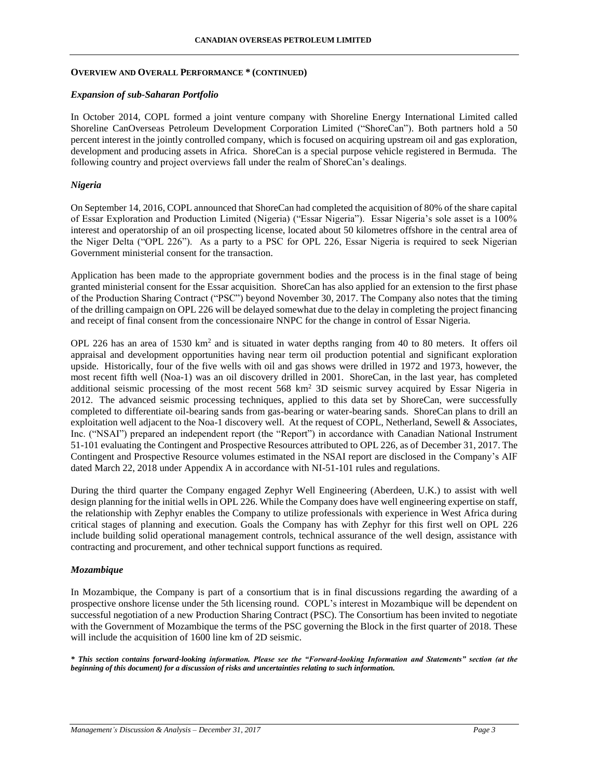#### **OVERVIEW AND OVERALL PERFORMANCE \* (CONTINUED)**

#### *Expansion of sub-Saharan Portfolio*

In October 2014, COPL formed a joint venture company with Shoreline Energy International Limited called Shoreline CanOverseas Petroleum Development Corporation Limited ("ShoreCan"). Both partners hold a 50 percent interest in the jointly controlled company, which is focused on acquiring upstream oil and gas exploration, development and producing assets in Africa. ShoreCan is a special purpose vehicle registered in Bermuda. The following country and project overviews fall under the realm of ShoreCan's dealings.

#### *Nigeria*

On September 14, 2016, COPL announced that ShoreCan had completed the acquisition of 80% of the share capital of Essar Exploration and Production Limited (Nigeria) ("Essar Nigeria"). Essar Nigeria's sole asset is a 100% interest and operatorship of an oil prospecting license, located about 50 kilometres offshore in the central area of the Niger Delta ("OPL 226"). As a party to a PSC for OPL 226, Essar Nigeria is required to seek Nigerian Government ministerial consent for the transaction.

Application has been made to the appropriate government bodies and the process is in the final stage of being granted ministerial consent for the Essar acquisition. ShoreCan has also applied for an extension to the first phase of the Production Sharing Contract ("PSC") beyond November 30, 2017. The Company also notes that the timing of the drilling campaign on OPL 226 will be delayed somewhat due to the delay in completing the project financing and receipt of final consent from the concessionaire NNPC for the change in control of Essar Nigeria.

OPL 226 has an area of 1530  $km^2$  and is situated in water depths ranging from 40 to 80 meters. It offers oil appraisal and development opportunities having near term oil production potential and significant exploration upside. Historically, four of the five wells with oil and gas shows were drilled in 1972 and 1973, however, the most recent fifth well (Noa-1) was an oil discovery drilled in 2001. ShoreCan, in the last year, has completed additional seismic processing of the most recent 568 km<sup>2</sup> 3D seismic survey acquired by Essar Nigeria in 2012. The advanced seismic processing techniques, applied to this data set by ShoreCan, were successfully completed to differentiate oil-bearing sands from gas-bearing or water-bearing sands. ShoreCan plans to drill an exploitation well adjacent to the Noa-1 discovery well. At the request of COPL, Netherland, Sewell & Associates, Inc. ("NSAI") prepared an independent report (the "Report") in accordance with Canadian National Instrument 51-101 evaluating the Contingent and Prospective Resources attributed to OPL 226, as of December 31, 2017. The Contingent and Prospective Resource volumes estimated in the NSAI report are disclosed in the Company's AIF dated March 22, 2018 under Appendix A in accordance with NI-51-101 rules and regulations.

During the third quarter the Company engaged Zephyr Well Engineering (Aberdeen, U.K.) to assist with well design planning for the initial wells in OPL 226. While the Company does have well engineering expertise on staff, the relationship with Zephyr enables the Company to utilize professionals with experience in West Africa during critical stages of planning and execution. Goals the Company has with Zephyr for this first well on OPL 226 include building solid operational management controls, technical assurance of the well design, assistance with contracting and procurement, and other technical support functions as required.

#### *Mozambique*

In Mozambique, the Company is part of a consortium that is in final discussions regarding the awarding of a prospective onshore license under the 5th licensing round. COPL's interest in Mozambique will be dependent on successful negotiation of a new Production Sharing Contract (PSC). The Consortium has been invited to negotiate with the Government of Mozambique the terms of the PSC governing the Block in the first quarter of 2018. These will include the acquisition of 1600 line km of 2D seismic.

*\* This section contains forward-looking information. Please see the "Forward-looking Information and Statements" section (at the beginning of this document) for a discussion of risks and uncertainties relating to such information.*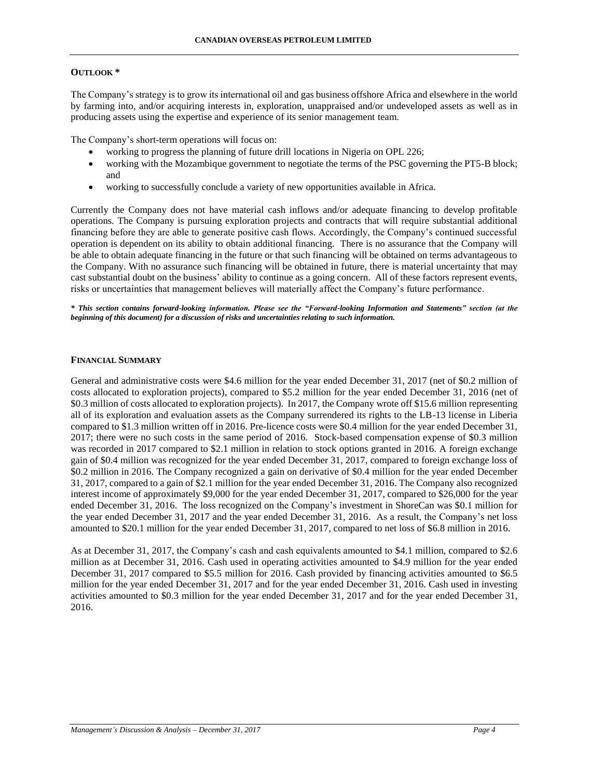### **OUTLOOK \***

The Company's strategy is to grow its international oil and gas business offshore Africa and elsewhere in the world by farming into, and/or acquiring interests in, exploration, unappraised and/or undeveloped assets as well as in producing assets using the expertise and experience of its senior management team.

The Company's short-term operations will focus on:

- working to progress the planning of future drill locations in Nigeria on OPL 226;
- working with the Mozambique government to negotiate the terms of the PSC governing the PT5-B block; and
- working to successfully conclude a variety of new opportunities available in Africa.

Currently the Company does not have material cash inflows and/or adequate financing to develop profitable operations. The Company is pursuing exploration projects and contracts that will require substantial additional financing before they are able to generate positive cash flows. Accordingly, the Company's continued successful operation is dependent on its ability to obtain additional financing. There is no assurance that the Company will be able to obtain adequate financing in the future or that such financing will be obtained on terms advantageous to the Company. With no assurance such financing will be obtained in future, there is material uncertainty that may cast substantial doubt on the business' ability to continue as a going concern. All of these factors represent events, risks or uncertainties that management believes will materially affect the Company's future performance.

*\* This section contains forward-looking information. Please see the "Forward-looking Information and Statements" section (at the beginning of this document) for a discussion of risks and uncertainties relating to such information.*

### **FINANCIAL SUMMARY**

General and administrative costs were \$4.6 million for the year ended December 31, 2017 (net of \$0.2 million of costs allocated to exploration projects), compared to \$5.2 million for the year ended December 31, 2016 (net of \$0.3 million of costs allocated to exploration projects). In 2017, the Company wrote off \$15.6 million representing all of its exploration and evaluation assets as the Company surrendered its rights to the LB-13 license in Liberia compared to \$1.3 million written off in 2016. Pre-licence costs were \$0.4 million for the year ended December 31, 2017; there were no such costs in the same period of 2016. Stock-based compensation expense of \$0.3 million was recorded in 2017 compared to \$2.1 million in relation to stock options granted in 2016. A foreign exchange gain of \$0.4 million was recognized for the year ended December 31, 2017, compared to foreign exchange loss of \$0.2 million in 2016. The Company recognized a gain on derivative of \$0.4 million for the year ended December 31, 2017, compared to a gain of \$2.1 million for the year ended December 31, 2016. The Company also recognized interest income of approximately \$9,000 for the year ended December 31, 2017, compared to \$26,000 for the year ended December 31, 2016. The loss recognized on the Company's investment in ShoreCan was \$0.1 million for the year ended December 31, 2017 and the year ended December 31, 2016. As a result, the Company's net loss amounted to \$20.1 million for the year ended December 31, 2017, compared to net loss of \$6.8 million in 2016.

As at December 31, 2017, the Company's cash and cash equivalents amounted to \$4.1 million, compared to \$2.6 million as at December 31, 2016. Cash used in operating activities amounted to \$4.9 million for the year ended December 31, 2017 compared to \$5.5 million for 2016. Cash provided by financing activities amounted to \$6.5 million for the year ended December 31, 2017 and for the year ended December 31, 2016. Cash used in investing activities amounted to \$0.3 million for the year ended December 31, 2017 and for the year ended December 31, 2016.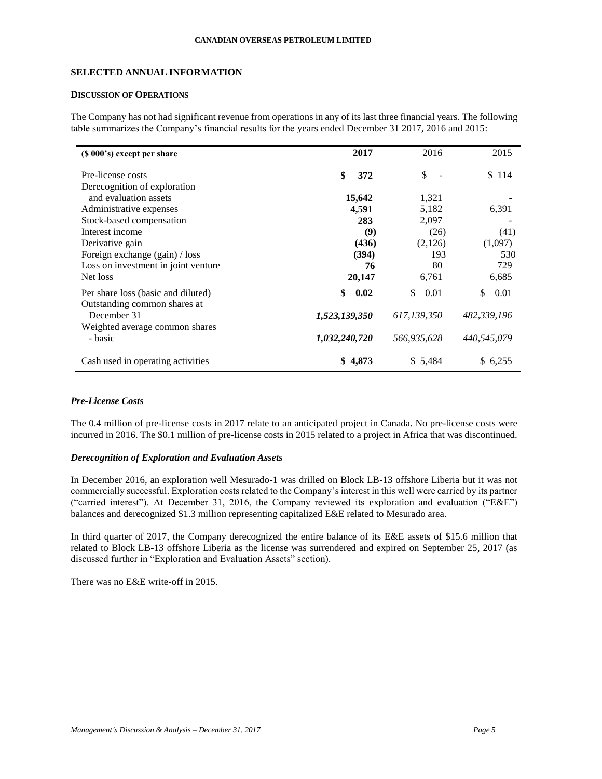### **SELECTED ANNUAL INFORMATION**

## **DISCUSSION OF OPERATIONS**

The Company has not had significant revenue from operations in any of its last three financial years. The following table summarizes the Company's financial results for the years ended December 31 2017, 2016 and 2015:

| (\$ 000's) except per share         | 2017          | 2016        | 2015        |
|-------------------------------------|---------------|-------------|-------------|
| Pre-license costs                   | \$<br>372     | \$          | \$114       |
| Derecognition of exploration        |               |             |             |
| and evaluation assets               | 15,642        | 1,321       |             |
| Administrative expenses             | 4,591         | 5,182       | 6,391       |
| Stock-based compensation            | 283           | 2,097       |             |
| Interest income                     | (9)           | (26)        | (41)        |
| Derivative gain                     | (436)         | (2,126)     | (1,097)     |
| Foreign exchange (gain) / loss      | (394)         | 193         | 530         |
| Loss on investment in joint venture | 76            | 80          | 729         |
| Net loss                            | 20,147        | 6,761       | 6,685       |
| Per share loss (basic and diluted)  | \$<br>0.02    | 0.01<br>\$  | \$<br>0.01  |
| Outstanding common shares at        |               |             |             |
| December 31                         | 1,523,139,350 | 617,139,350 | 482,339,196 |
| Weighted average common shares      |               |             |             |
| - basic                             | 1,032,240,720 | 566,935,628 | 440,545,079 |
| Cash used in operating activities   | \$4,873       | \$5,484     | \$ 6,255    |
|                                     |               |             |             |

## *Pre-License Costs*

The 0.4 million of pre-license costs in 2017 relate to an anticipated project in Canada. No pre-license costs were incurred in 2016. The \$0.1 million of pre-license costs in 2015 related to a project in Africa that was discontinued.

## *Derecognition of Exploration and Evaluation Assets*

In December 2016, an exploration well Mesurado-1 was drilled on Block LB-13 offshore Liberia but it was not commercially successful. Exploration costs related to the Company's interest in this well were carried by its partner ("carried interest"). At December 31, 2016, the Company reviewed its exploration and evaluation ("E&E") balances and derecognized \$1.3 million representing capitalized E&E related to Mesurado area.

In third quarter of 2017, the Company derecognized the entire balance of its E&E assets of \$15.6 million that related to Block LB-13 offshore Liberia as the license was surrendered and expired on September 25, 2017 (as discussed further in "Exploration and Evaluation Assets" section).

There was no E&E write-off in 2015.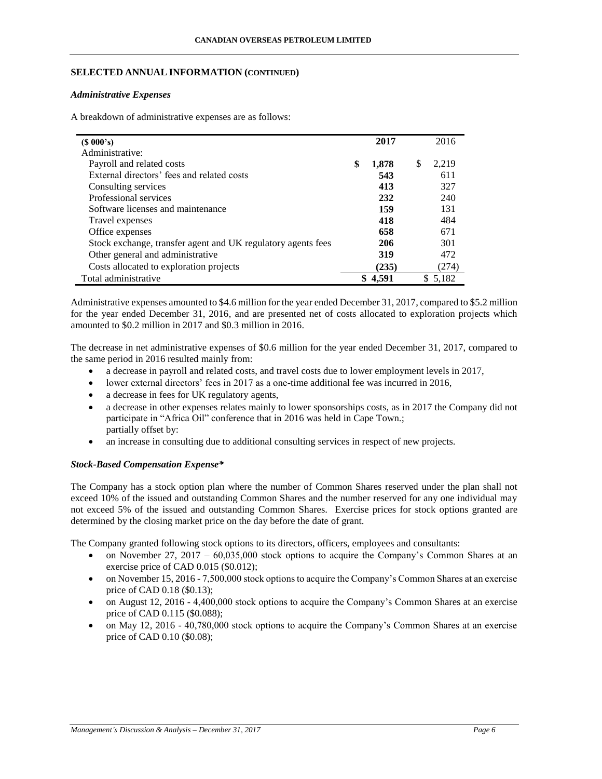## **SELECTED ANNUAL INFORMATION (CONTINUED)**

### *Administrative Expenses*

A breakdown of administrative expenses are as follows:

| (S 000's)                                                    | 2017        |   | 2016  |
|--------------------------------------------------------------|-------------|---|-------|
| Administrative:                                              |             |   |       |
| Payroll and related costs                                    | \$<br>1,878 | S | 2.219 |
| External directors' fees and related costs                   | 543         |   | 611   |
| Consulting services                                          | 413         |   | 327   |
| Professional services                                        | 232         |   | 240   |
| Software licenses and maintenance                            | 159         |   | 131   |
| Travel expenses                                              | 418         |   | 484   |
| Office expenses                                              | 658         |   | 671   |
| Stock exchange, transfer agent and UK regulatory agents fees | 206         |   | 301   |
| Other general and administrative                             | 319         |   | 472   |
| Costs allocated to exploration projects                      | (235)       |   | (274) |
| Total administrative                                         | 4.591       |   | 5,182 |

Administrative expenses amounted to \$4.6 million for the year ended December 31, 2017, compared to \$5.2 million for the year ended December 31, 2016, and are presented net of costs allocated to exploration projects which amounted to \$0.2 million in 2017 and \$0.3 million in 2016.

The decrease in net administrative expenses of \$0.6 million for the year ended December 31, 2017, compared to the same period in 2016 resulted mainly from:

- a decrease in payroll and related costs, and travel costs due to lower employment levels in 2017,
- lower external directors' fees in 2017 as a one-time additional fee was incurred in 2016,
- a decrease in fees for UK regulatory agents,
- a decrease in other expenses relates mainly to lower sponsorships costs, as in 2017 the Company did not participate in "Africa Oil" conference that in 2016 was held in Cape Town.; partially offset by:
- an increase in consulting due to additional consulting services in respect of new projects.

## *Stock-Based Compensation Expense\**

The Company has a stock option plan where the number of Common Shares reserved under the plan shall not exceed 10% of the issued and outstanding Common Shares and the number reserved for any one individual may not exceed 5% of the issued and outstanding Common Shares. Exercise prices for stock options granted are determined by the closing market price on the day before the date of grant.

The Company granted following stock options to its directors, officers, employees and consultants:

- on November 27, 2017 60,035,000 stock options to acquire the Company's Common Shares at an exercise price of CAD 0.015 (\$0.012);
- on November 15, 2016 7,500,000 stock options to acquire the Company's Common Shares at an exercise price of CAD 0.18 (\$0.13);
- on August 12, 2016 4,400,000 stock options to acquire the Company's Common Shares at an exercise price of CAD 0.115 (\$0.088);
- on May 12, 2016 40,780,000 stock options to acquire the Company's Common Shares at an exercise price of CAD 0.10 (\$0.08);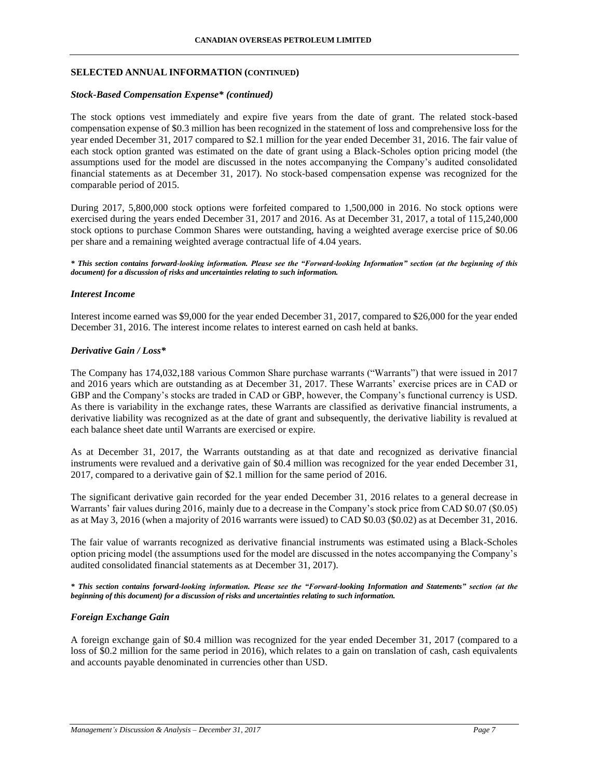### **SELECTED ANNUAL INFORMATION (CONTINUED)**

### *Stock-Based Compensation Expense\* (continued)*

The stock options vest immediately and expire five years from the date of grant. The related stock-based compensation expense of \$0.3 million has been recognized in the statement of loss and comprehensive loss for the year ended December 31, 2017 compared to \$2.1 million for the year ended December 31, 2016. The fair value of each stock option granted was estimated on the date of grant using a Black-Scholes option pricing model (the assumptions used for the model are discussed in the notes accompanying the Company's audited consolidated financial statements as at December 31, 2017). No stock-based compensation expense was recognized for the comparable period of 2015.

During 2017, 5,800,000 stock options were forfeited compared to 1,500,000 in 2016. No stock options were exercised during the years ended December 31, 2017 and 2016. As at December 31, 2017, a total of 115,240,000 stock options to purchase Common Shares were outstanding, having a weighted average exercise price of \$0.06 per share and a remaining weighted average contractual life of 4.04 years.

*\* This section contains forward-looking information. Please see the "Forward-looking Information" section (at the beginning of this document) for a discussion of risks and uncertainties relating to such information.*

### *Interest Income*

Interest income earned was \$9,000 for the year ended December 31, 2017, compared to \$26,000 for the year ended December 31, 2016. The interest income relates to interest earned on cash held at banks.

### *Derivative Gain / Loss\**

The Company has 174,032,188 various Common Share purchase warrants ("Warrants") that were issued in 2017 and 2016 years which are outstanding as at December 31, 2017. These Warrants' exercise prices are in CAD or GBP and the Company's stocks are traded in CAD or GBP, however, the Company's functional currency is USD. As there is variability in the exchange rates, these Warrants are classified as derivative financial instruments, a derivative liability was recognized as at the date of grant and subsequently, the derivative liability is revalued at each balance sheet date until Warrants are exercised or expire.

As at December 31, 2017, the Warrants outstanding as at that date and recognized as derivative financial instruments were revalued and a derivative gain of \$0.4 million was recognized for the year ended December 31, 2017, compared to a derivative gain of \$2.1 million for the same period of 2016.

The significant derivative gain recorded for the year ended December 31, 2016 relates to a general decrease in Warrants' fair values during 2016, mainly due to a decrease in the Company's stock price from CAD \$0.07 (\$0.05) as at May 3, 2016 (when a majority of 2016 warrants were issued) to CAD \$0.03 (\$0.02) as at December 31, 2016.

The fair value of warrants recognized as derivative financial instruments was estimated using a Black-Scholes option pricing model (the assumptions used for the model are discussed in the notes accompanying the Company's audited consolidated financial statements as at December 31, 2017).

*\* This section contains forward-looking information. Please see the "Forward-looking Information and Statements" section (at the beginning of this document) for a discussion of risks and uncertainties relating to such information.*

## *Foreign Exchange Gain*

A foreign exchange gain of \$0.4 million was recognized for the year ended December 31, 2017 (compared to a loss of \$0.2 million for the same period in 2016), which relates to a gain on translation of cash, cash equivalents and accounts payable denominated in currencies other than USD.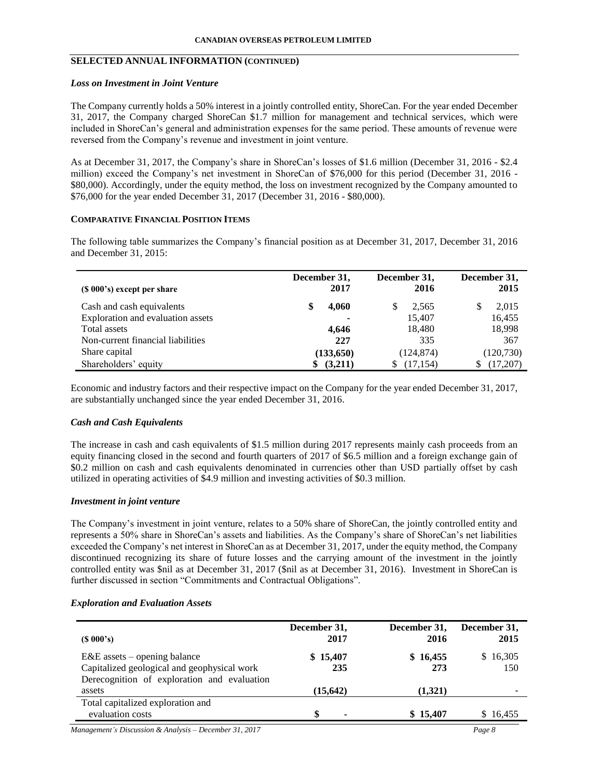### **SELECTED ANNUAL INFORMATION (CONTINUED)**

#### *Loss on Investment in Joint Venture*

The Company currently holds a 50% interest in a jointly controlled entity, ShoreCan. For the year ended December 31, 2017, the Company charged ShoreCan \$1.7 million for management and technical services, which were included in ShoreCan's general and administration expenses for the same period. These amounts of revenue were reversed from the Company's revenue and investment in joint venture.

As at December 31, 2017, the Company's share in ShoreCan's losses of \$1.6 million (December 31, 2016 - \$2.4 million) exceed the Company's net investment in ShoreCan of \$76,000 for this period (December 31, 2016 - \$80,000). Accordingly, under the equity method, the loss on investment recognized by the Company amounted to \$76,000 for the year ended December 31, 2017 (December 31, 2016 - \$80,000).

### **COMPARATIVE FINANCIAL POSITION ITEMS**

The following table summarizes the Company's financial position as at December 31, 2017, December 31, 2016 and December 31, 2015:

| (\$ 000's) except per share       | December 31,<br>2017 | December 31,<br>2016 | December 31,<br>2015 |
|-----------------------------------|----------------------|----------------------|----------------------|
| Cash and cash equivalents         | 4,060                | 2,565                | 2,015                |
| Exploration and evaluation assets | ۰                    | 15,407               | 16,455               |
| Total assets                      | 4,646                | 18,480               | 18,998               |
| Non-current financial liabilities | 227                  | 335                  | 367                  |
| Share capital                     | (133, 650)           | (124, 874)           | (120, 730)           |
| Shareholders' equity              | (3,211)              | (17, 154)            | (17,207)             |

Economic and industry factors and their respective impact on the Company for the year ended December 31, 2017, are substantially unchanged since the year ended December 31, 2016.

### *Cash and Cash Equivalents*

The increase in cash and cash equivalents of \$1.5 million during 2017 represents mainly cash proceeds from an equity financing closed in the second and fourth quarters of 2017 of \$6.5 million and a foreign exchange gain of \$0.2 million on cash and cash equivalents denominated in currencies other than USD partially offset by cash utilized in operating activities of \$4.9 million and investing activities of \$0.3 million.

### *Investment in joint venture*

The Company's investment in joint venture, relates to a 50% share of ShoreCan, the jointly controlled entity and represents a 50% share in ShoreCan's assets and liabilities. As the Company's share of ShoreCan's net liabilities exceeded the Company's net interest in ShoreCan as at December 31, 2017, under the equity method, the Company discontinued recognizing its share of future losses and the carrying amount of the investment in the jointly controlled entity was \$nil as at December 31, 2017 (\$nil as at December 31, 2016). Investment in ShoreCan is further discussed in section "Commitments and Contractual Obligations".

### *Exploration and Evaluation Assets*

| (S 000's)                                                                                                                    | December 31,<br>2017 | December 31,<br>2016 | December 31,<br>2015 |
|------------------------------------------------------------------------------------------------------------------------------|----------------------|----------------------|----------------------|
| $E&E$ assets – opening balance<br>Capitalized geological and geophysical work<br>Derecognition of exploration and evaluation | \$15,407<br>235      | \$16,455<br>273      | \$16,305<br>150      |
| assets                                                                                                                       | (15, 642)            | (1,321)              |                      |
| Total capitalized exploration and<br>evaluation costs                                                                        | \$                   | \$15,407             | \$16,455             |
| Management's Discussion & Analysis – December 31, 2017                                                                       |                      |                      | Page 8               |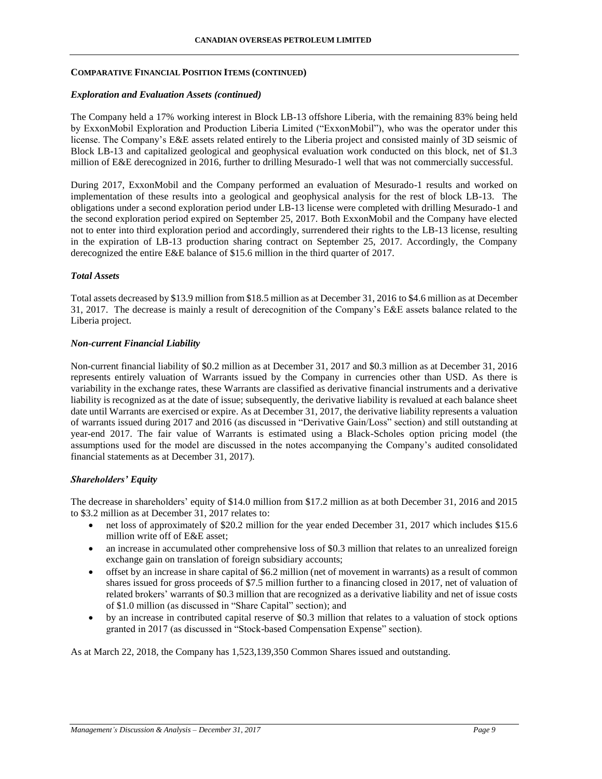### **COMPARATIVE FINANCIAL POSITION ITEMS (CONTINUED)**

### *Exploration and Evaluation Assets (continued)*

The Company held a 17% working interest in Block LB-13 offshore Liberia, with the remaining 83% being held by ExxonMobil Exploration and Production Liberia Limited ("ExxonMobil"), who was the operator under this license. The Company's E&E assets related entirely to the Liberia project and consisted mainly of 3D seismic of Block LB-13 and capitalized geological and geophysical evaluation work conducted on this block, net of \$1.3 million of E&E derecognized in 2016, further to drilling Mesurado-1 well that was not commercially successful.

During 2017, ExxonMobil and the Company performed an evaluation of Mesurado-1 results and worked on implementation of these results into a geological and geophysical analysis for the rest of block LB-13. The obligations under a second exploration period under LB-13 license were completed with drilling Mesurado-1 and the second exploration period expired on September 25, 2017. Both ExxonMobil and the Company have elected not to enter into third exploration period and accordingly, surrendered their rights to the LB-13 license, resulting in the expiration of LB-13 production sharing contract on September 25, 2017. Accordingly, the Company derecognized the entire E&E balance of \$15.6 million in the third quarter of 2017.

### *Total Assets*

Total assets decreased by \$13.9 million from \$18.5 million as at December 31, 2016 to \$4.6 million as at December 31, 2017. The decrease is mainly a result of derecognition of the Company's E&E assets balance related to the Liberia project.

### *Non-current Financial Liability*

Non-current financial liability of \$0.2 million as at December 31, 2017 and \$0.3 million as at December 31, 2016 represents entirely valuation of Warrants issued by the Company in currencies other than USD. As there is variability in the exchange rates, these Warrants are classified as derivative financial instruments and a derivative liability is recognized as at the date of issue; subsequently, the derivative liability is revalued at each balance sheet date until Warrants are exercised or expire. As at December 31, 2017, the derivative liability represents a valuation of warrants issued during 2017 and 2016 (as discussed in "Derivative Gain/Loss" section) and still outstanding at year-end 2017. The fair value of Warrants is estimated using a Black-Scholes option pricing model (the assumptions used for the model are discussed in the notes accompanying the Company's audited consolidated financial statements as at December 31, 2017).

## *Shareholders' Equity*

The decrease in shareholders' equity of \$14.0 million from \$17.2 million as at both December 31, 2016 and 2015 to \$3.2 million as at December 31, 2017 relates to:

- net loss of approximately of \$20.2 million for the year ended December 31, 2017 which includes \$15.6 million write off of E&E asset;
- an increase in accumulated other comprehensive loss of \$0.3 million that relates to an unrealized foreign exchange gain on translation of foreign subsidiary accounts;
- offset by an increase in share capital of \$6.2 million (net of movement in warrants) as a result of common shares issued for gross proceeds of \$7.5 million further to a financing closed in 2017, net of valuation of related brokers' warrants of \$0.3 million that are recognized as a derivative liability and net of issue costs of \$1.0 million (as discussed in "Share Capital" section); and
- by an increase in contributed capital reserve of \$0.3 million that relates to a valuation of stock options granted in 2017 (as discussed in "Stock-based Compensation Expense" section).

As at March 22, 2018, the Company has 1,523,139,350 Common Shares issued and outstanding.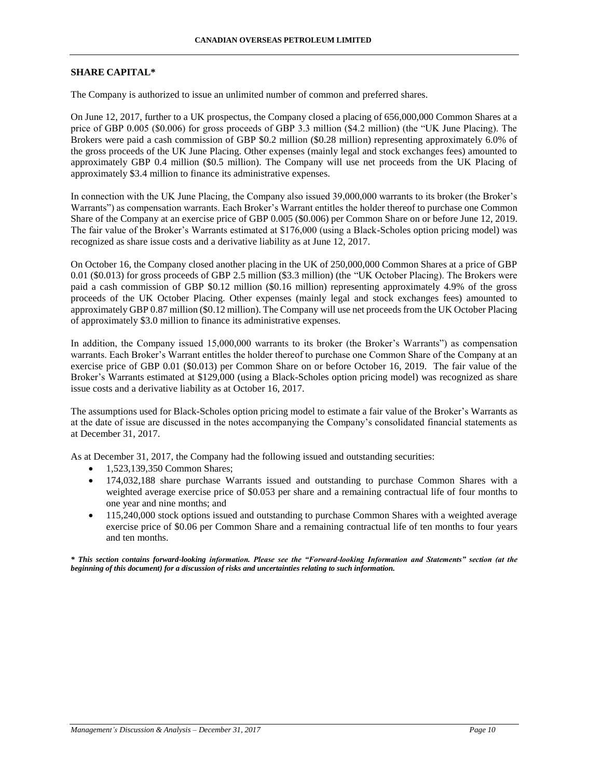#### **SHARE CAPITAL\***

The Company is authorized to issue an unlimited number of common and preferred shares.

On June 12, 2017, further to a UK prospectus, the Company closed a placing of 656,000,000 Common Shares at a price of GBP 0.005 (\$0.006) for gross proceeds of GBP 3.3 million (\$4.2 million) (the "UK June Placing). The Brokers were paid a cash commission of GBP \$0.2 million (\$0.28 million) representing approximately 6.0% of the gross proceeds of the UK June Placing. Other expenses (mainly legal and stock exchanges fees) amounted to approximately GBP 0.4 million (\$0.5 million). The Company will use net proceeds from the UK Placing of approximately \$3.4 million to finance its administrative expenses.

In connection with the UK June Placing, the Company also issued 39,000,000 warrants to its broker (the Broker's Warrants") as compensation warrants. Each Broker's Warrant entitles the holder thereof to purchase one Common Share of the Company at an exercise price of GBP 0.005 (\$0.006) per Common Share on or before June 12, 2019. The fair value of the Broker's Warrants estimated at \$176,000 (using a Black-Scholes option pricing model) was recognized as share issue costs and a derivative liability as at June 12, 2017.

On October 16, the Company closed another placing in the UK of 250,000,000 Common Shares at a price of GBP 0.01 (\$0.013) for gross proceeds of GBP 2.5 million (\$3.3 million) (the "UK October Placing). The Brokers were paid a cash commission of GBP \$0.12 million (\$0.16 million) representing approximately 4.9% of the gross proceeds of the UK October Placing. Other expenses (mainly legal and stock exchanges fees) amounted to approximately GBP 0.87 million (\$0.12 million). The Company will use net proceeds from the UK October Placing of approximately \$3.0 million to finance its administrative expenses.

In addition, the Company issued 15,000,000 warrants to its broker (the Broker's Warrants") as compensation warrants. Each Broker's Warrant entitles the holder thereof to purchase one Common Share of the Company at an exercise price of GBP 0.01 (\$0.013) per Common Share on or before October 16, 2019. The fair value of the Broker's Warrants estimated at \$129,000 (using a Black-Scholes option pricing model) was recognized as share issue costs and a derivative liability as at October 16, 2017.

The assumptions used for Black-Scholes option pricing model to estimate a fair value of the Broker's Warrants as at the date of issue are discussed in the notes accompanying the Company's consolidated financial statements as at December 31, 2017.

As at December 31, 2017, the Company had the following issued and outstanding securities:

- 1,523,139,350 Common Shares;
- 174,032,188 share purchase Warrants issued and outstanding to purchase Common Shares with a weighted average exercise price of \$0.053 per share and a remaining contractual life of four months to one year and nine months; and
- 115,240,000 stock options issued and outstanding to purchase Common Shares with a weighted average exercise price of \$0.06 per Common Share and a remaining contractual life of ten months to four years and ten months.

*\* This section contains forward-looking information. Please see the "Forward-looking Information and Statements" section (at the beginning of this document) for a discussion of risks and uncertainties relating to such information.*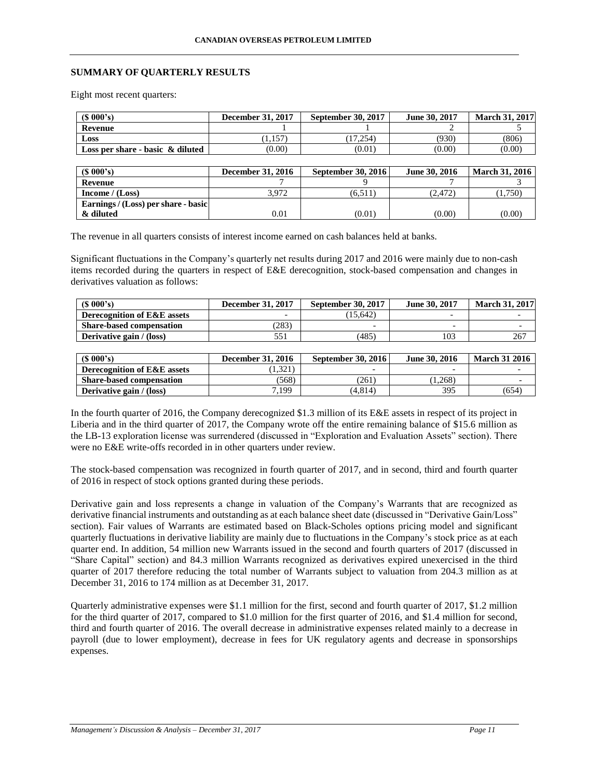## **SUMMARY OF QUARTERLY RESULTS**

Eight most recent quarters:

| (S 000's)                           | December 31, 2017        | September 30, 2017 | June 30, 2017 | <b>March 31, 2017</b> |
|-------------------------------------|--------------------------|--------------------|---------------|-----------------------|
| Revenue                             |                          |                    |               |                       |
| Loss                                | (1, 157)                 | (17, 254)          | (930)         | (806)                 |
| Loss per share - basic $\&$ diluted | (0.00)                   | (0.01)             | (0.00)        | (0.00)                |
|                                     |                          |                    |               |                       |
|                                     |                          |                    |               |                       |
| (S 000's)                           | <b>December 31, 2016</b> | September 30, 2016 | June 30, 2016 | <b>March 31, 2016</b> |
| Revenue                             |                          |                    |               |                       |
| Income $/(Loss)$                    | 3.972                    | (6,511)            | (2,472)       | (1,750)               |
| Earnings / (Loss) per share - basic |                          |                    |               |                       |

The revenue in all quarters consists of interest income earned on cash balances held at banks.

Significant fluctuations in the Company's quarterly net results during 2017 and 2016 were mainly due to non-cash items recorded during the quarters in respect of E&E derecognition, stock-based compensation and changes in derivatives valuation as follows:

| $(S\ 000's)$                           | December 31, 2017 | <b>September 30, 2017</b> | June 30, 2017            | <b>March 31, 2017</b> |
|----------------------------------------|-------------------|---------------------------|--------------------------|-----------------------|
| <b>Derecognition of E&amp;E assets</b> |                   | 15.642                    |                          |                       |
| <b>Share-based compensation</b>        | (283)             | $\overline{\phantom{0}}$  | $\overline{\phantom{0}}$ |                       |
| Derivative gain / (loss)               |                   | (485)                     | 103                      | 267                   |

| $(S\ 000's)$                           | <b>December 31, 2016</b> | <b>September 30, 2016</b> | June 30, 2016 | <b>March 31 2016</b> |
|----------------------------------------|--------------------------|---------------------------|---------------|----------------------|
| <b>Derecognition of E&amp;E assets</b> | 1.321                    | $\overline{\phantom{0}}$  |               |                      |
| <b>Share-based compensation</b>        | (568)                    | (261)                     | (1.268)       |                      |
| Derivative gain / (loss)               | 7,199                    | (4.814)                   | 395           | (654)                |

In the fourth quarter of 2016, the Company derecognized \$1.3 million of its E&E assets in respect of its project in Liberia and in the third quarter of 2017, the Company wrote off the entire remaining balance of \$15.6 million as the LB-13 exploration license was surrendered (discussed in "Exploration and Evaluation Assets" section). There were no E&E write-offs recorded in in other quarters under review.

The stock-based compensation was recognized in fourth quarter of 2017, and in second, third and fourth quarter of 2016 in respect of stock options granted during these periods.

Derivative gain and loss represents a change in valuation of the Company's Warrants that are recognized as derivative financial instruments and outstanding as at each balance sheet date (discussed in "Derivative Gain/Loss" section). Fair values of Warrants are estimated based on Black-Scholes options pricing model and significant quarterly fluctuations in derivative liability are mainly due to fluctuations in the Company's stock price as at each quarter end. In addition, 54 million new Warrants issued in the second and fourth quarters of 2017 (discussed in "Share Capital" section) and 84.3 million Warrants recognized as derivatives expired unexercised in the third quarter of 2017 therefore reducing the total number of Warrants subject to valuation from 204.3 million as at December 31, 2016 to 174 million as at December 31, 2017.

Quarterly administrative expenses were \$1.1 million for the first, second and fourth quarter of 2017, \$1.2 million for the third quarter of 2017, compared to \$1.0 million for the first quarter of 2016, and \$1.4 million for second, third and fourth quarter of 2016. The overall decrease in administrative expenses related mainly to a decrease in payroll (due to lower employment), decrease in fees for UK regulatory agents and decrease in sponsorships expenses.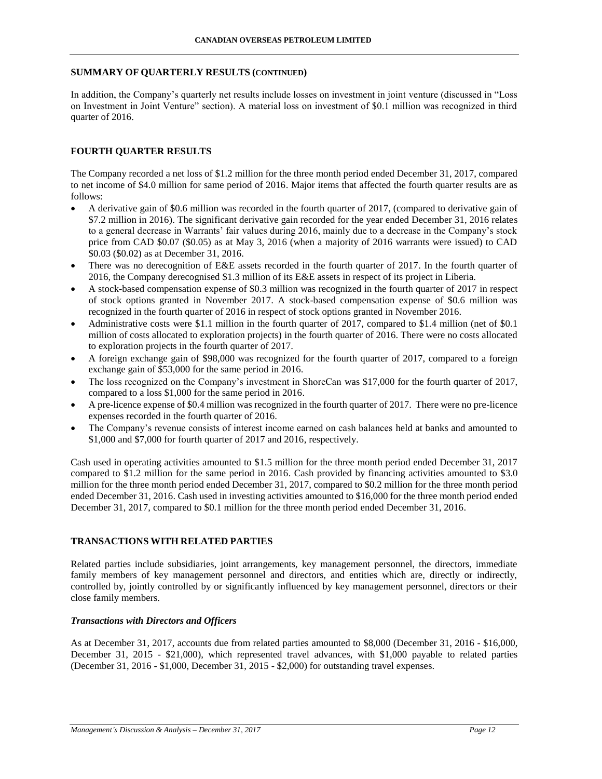#### **SUMMARY OF QUARTERLY RESULTS (CONTINUED)**

In addition, the Company's quarterly net results include losses on investment in joint venture (discussed in "Loss on Investment in Joint Venture" section). A material loss on investment of \$0.1 million was recognized in third quarter of 2016.

### **FOURTH QUARTER RESULTS**

The Company recorded a net loss of \$1.2 million for the three month period ended December 31, 2017, compared to net income of \$4.0 million for same period of 2016. Major items that affected the fourth quarter results are as follows:

- A derivative gain of \$0.6 million was recorded in the fourth quarter of 2017, (compared to derivative gain of \$7.2 million in 2016). The significant derivative gain recorded for the year ended December 31, 2016 relates to a general decrease in Warrants' fair values during 2016, mainly due to a decrease in the Company's stock price from CAD \$0.07 (\$0.05) as at May 3, 2016 (when a majority of 2016 warrants were issued) to CAD \$0.03 (\$0.02) as at December 31, 2016.
- There was no derecognition of E&E assets recorded in the fourth quarter of 2017. In the fourth quarter of 2016, the Company derecognised \$1.3 million of its E&E assets in respect of its project in Liberia.
- A stock-based compensation expense of \$0.3 million was recognized in the fourth quarter of 2017 in respect of stock options granted in November 2017. A stock-based compensation expense of \$0.6 million was recognized in the fourth quarter of 2016 in respect of stock options granted in November 2016.
- Administrative costs were \$1.1 million in the fourth quarter of 2017, compared to \$1.4 million (net of \$0.1 million of costs allocated to exploration projects) in the fourth quarter of 2016. There were no costs allocated to exploration projects in the fourth quarter of 2017.
- A foreign exchange gain of \$98,000 was recognized for the fourth quarter of 2017, compared to a foreign exchange gain of \$53,000 for the same period in 2016.
- The loss recognized on the Company's investment in ShoreCan was \$17,000 for the fourth quarter of 2017, compared to a loss \$1,000 for the same period in 2016.
- A pre-licence expense of \$0.4 million was recognized in the fourth quarter of 2017. There were no pre-licence expenses recorded in the fourth quarter of 2016.
- The Company's revenue consists of interest income earned on cash balances held at banks and amounted to \$1,000 and \$7,000 for fourth quarter of 2017 and 2016, respectively.

Cash used in operating activities amounted to \$1.5 million for the three month period ended December 31, 2017 compared to \$1.2 million for the same period in 2016. Cash provided by financing activities amounted to \$3.0 million for the three month period ended December 31, 2017, compared to \$0.2 million for the three month period ended December 31, 2016. Cash used in investing activities amounted to \$16,000 for the three month period ended December 31, 2017, compared to \$0.1 million for the three month period ended December 31, 2016.

### **TRANSACTIONS WITH RELATED PARTIES**

Related parties include subsidiaries, joint arrangements, key management personnel, the directors, immediate family members of key management personnel and directors, and entities which are, directly or indirectly, controlled by, jointly controlled by or significantly influenced by key management personnel, directors or their close family members.

### *Transactions with Directors and Officers*

As at December 31, 2017, accounts due from related parties amounted to \$8,000 (December 31, 2016 - \$16,000, December 31, 2015 - \$21,000), which represented travel advances, with \$1,000 payable to related parties (December 31, 2016 - \$1,000, December 31, 2015 - \$2,000) for outstanding travel expenses.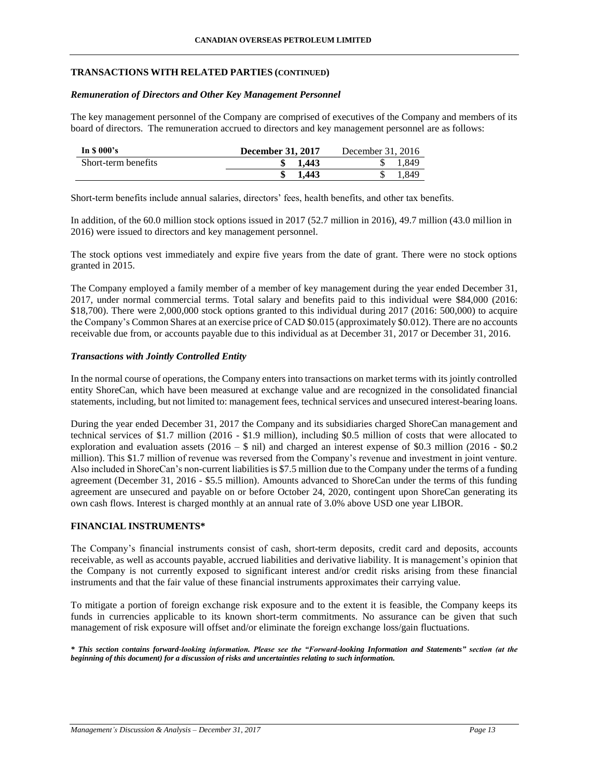### **TRANSACTIONS WITH RELATED PARTIES (CONTINUED)**

#### *Remuneration of Directors and Other Key Management Personnel*

The key management personnel of the Company are comprised of executives of the Company and members of its board of directors. The remuneration accrued to directors and key management personnel are as follows:

| In $$000's$         | <b>December 31, 2017</b> | December 31, 2016 |
|---------------------|--------------------------|-------------------|
| Short-term benefits | 1.443                    | 1.849             |
|                     | 1.443                    | 1.849             |

Short-term benefits include annual salaries, directors' fees, health benefits, and other tax benefits.

In addition, of the 60.0 million stock options issued in 2017 (52.7 million in 2016), 49.7 million (43.0 million in 2016) were issued to directors and key management personnel.

The stock options vest immediately and expire five years from the date of grant. There were no stock options granted in 2015.

The Company employed a family member of a member of key management during the year ended December 31, 2017, under normal commercial terms. Total salary and benefits paid to this individual were \$84,000 (2016: \$18,700). There were 2,000,000 stock options granted to this individual during 2017 (2016: 500,000) to acquire the Company's Common Shares at an exercise price of CAD \$0.015 (approximately \$0.012). There are no accounts receivable due from, or accounts payable due to this individual as at December 31, 2017 or December 31, 2016.

### *Transactions with Jointly Controlled Entity*

In the normal course of operations, the Company enters into transactions on market terms with its jointly controlled entity ShoreCan, which have been measured at exchange value and are recognized in the consolidated financial statements, including, but not limited to: management fees, technical services and unsecured interest-bearing loans.

During the year ended December 31, 2017 the Company and its subsidiaries charged ShoreCan management and technical services of \$1.7 million (2016 - \$1.9 million), including \$0.5 million of costs that were allocated to exploration and evaluation assets  $(2016 - $$  nil) and charged an interest expense of \$0.3 million (2016 - \$0.2) million). This \$1.7 million of revenue was reversed from the Company's revenue and investment in joint venture. Also included in ShoreCan's non-current liabilities is \$7.5 million due to the Company under the terms of a funding agreement (December 31, 2016 - \$5.5 million). Amounts advanced to ShoreCan under the terms of this funding agreement are unsecured and payable on or before October 24, 2020, contingent upon ShoreCan generating its own cash flows. Interest is charged monthly at an annual rate of 3.0% above USD one year LIBOR.

### **FINANCIAL INSTRUMENTS\***

The Company's financial instruments consist of cash, short-term deposits, credit card and deposits, accounts receivable, as well as accounts payable, accrued liabilities and derivative liability. It is management's opinion that the Company is not currently exposed to significant interest and/or credit risks arising from these financial instruments and that the fair value of these financial instruments approximates their carrying value.

To mitigate a portion of foreign exchange risk exposure and to the extent it is feasible, the Company keeps its funds in currencies applicable to its known short-term commitments. No assurance can be given that such management of risk exposure will offset and/or eliminate the foreign exchange loss/gain fluctuations.

*\* This section contains forward-looking information. Please see the "Forward-looking Information and Statements" section (at the beginning of this document) for a discussion of risks and uncertainties relating to such information.*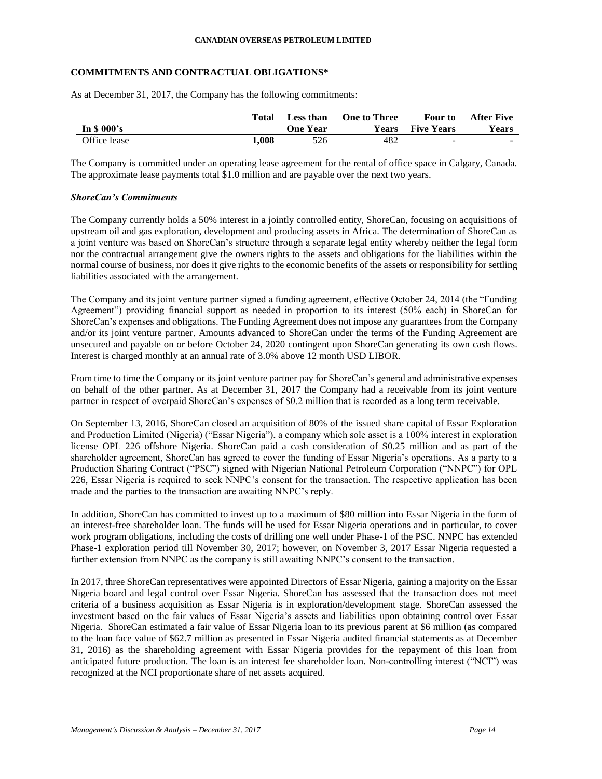### **COMMITMENTS AND CONTRACTUAL OBLIGATIONS\***

As at December 31, 2017, the Company has the following commitments:

|              | Total | <b>Less than</b> | <b>One to Three</b> | Four to           | <b>After Five</b> |
|--------------|-------|------------------|---------------------|-------------------|-------------------|
| In \$ 000's  |       | One Year         | <b>Years</b>        | <b>Five Years</b> | <b>Years</b>      |
| Office lease | 1.008 | 526              | 482                 | -                 | -                 |

The Company is committed under an operating lease agreement for the rental of office space in Calgary, Canada. The approximate lease payments total \$1.0 million and are payable over the next two years.

### *ShoreCan's Commitments*

The Company currently holds a 50% interest in a jointly controlled entity, ShoreCan, focusing on acquisitions of upstream oil and gas exploration, development and producing assets in Africa. The determination of ShoreCan as a joint venture was based on ShoreCan's structure through a separate legal entity whereby neither the legal form nor the contractual arrangement give the owners rights to the assets and obligations for the liabilities within the normal course of business, nor does it give rights to the economic benefits of the assets or responsibility for settling liabilities associated with the arrangement.

The Company and its joint venture partner signed a funding agreement, effective October 24, 2014 (the "Funding Agreement") providing financial support as needed in proportion to its interest (50% each) in ShoreCan for ShoreCan's expenses and obligations. The Funding Agreement does not impose any guarantees from the Company and/or its joint venture partner. Amounts advanced to ShoreCan under the terms of the Funding Agreement are unsecured and payable on or before October 24, 2020 contingent upon ShoreCan generating its own cash flows. Interest is charged monthly at an annual rate of 3.0% above 12 month USD LIBOR.

From time to time the Company or its joint venture partner pay for ShoreCan's general and administrative expenses on behalf of the other partner. As at December 31, 2017 the Company had a receivable from its joint venture partner in respect of overpaid ShoreCan's expenses of \$0.2 million that is recorded as a long term receivable.

On September 13, 2016, ShoreCan closed an acquisition of 80% of the issued share capital of Essar Exploration and Production Limited (Nigeria) ("Essar Nigeria"), a company which sole asset is a 100% interest in exploration license OPL 226 offshore Nigeria. ShoreCan paid a cash consideration of \$0.25 million and as part of the shareholder agreement, ShoreCan has agreed to cover the funding of Essar Nigeria's operations. As a party to a Production Sharing Contract ("PSC") signed with Nigerian National Petroleum Corporation ("NNPC") for OPL 226, Essar Nigeria is required to seek NNPC's consent for the transaction. The respective application has been made and the parties to the transaction are awaiting NNPC's reply.

In addition, ShoreCan has committed to invest up to a maximum of \$80 million into Essar Nigeria in the form of an interest-free shareholder loan. The funds will be used for Essar Nigeria operations and in particular, to cover work program obligations, including the costs of drilling one well under Phase-1 of the PSC. NNPC has extended Phase-1 exploration period till November 30, 2017; however, on November 3, 2017 Essar Nigeria requested a further extension from NNPC as the company is still awaiting NNPC's consent to the transaction.

In 2017, three ShoreCan representatives were appointed Directors of Essar Nigeria, gaining a majority on the Essar Nigeria board and legal control over Essar Nigeria. ShoreCan has assessed that the transaction does not meet criteria of a business acquisition as Essar Nigeria is in exploration/development stage. ShoreCan assessed the investment based on the fair values of Essar Nigeria's assets and liabilities upon obtaining control over Essar Nigeria. ShoreCan estimated a fair value of Essar Nigeria loan to its previous parent at \$6 million (as compared to the loan face value of \$62.7 million as presented in Essar Nigeria audited financial statements as at December 31, 2016) as the shareholding agreement with Essar Nigeria provides for the repayment of this loan from anticipated future production. The loan is an interest fee shareholder loan. Non-controlling interest ("NCI") was recognized at the NCI proportionate share of net assets acquired.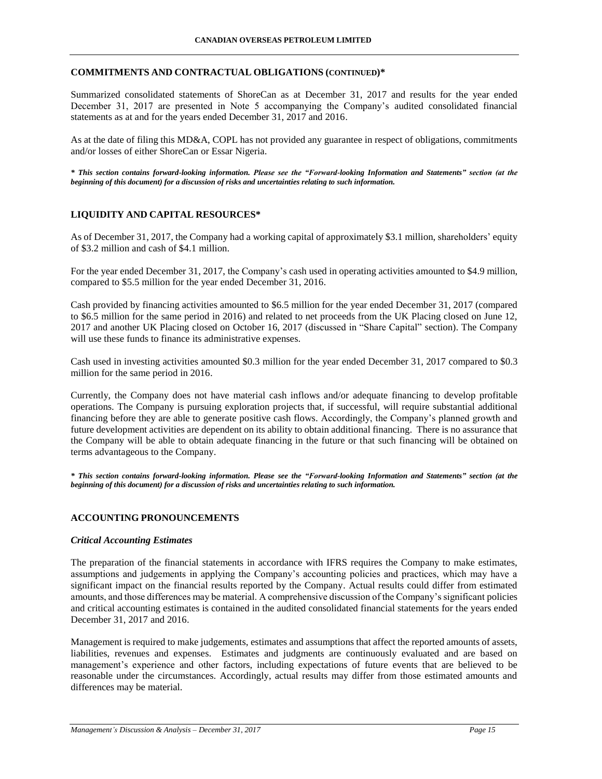### **COMMITMENTS AND CONTRACTUAL OBLIGATIONS (CONTINUED)\***

Summarized consolidated statements of ShoreCan as at December 31, 2017 and results for the year ended December 31, 2017 are presented in Note 5 accompanying the Company's audited consolidated financial statements as at and for the years ended December 31, 2017 and 2016.

As at the date of filing this MD&A, COPL has not provided any guarantee in respect of obligations, commitments and/or losses of either ShoreCan or Essar Nigeria.

*\* This section contains forward-looking information. Please see the "Forward-looking Information and Statements" section (at the beginning of this document) for a discussion of risks and uncertainties relating to such information.*

## **LIQUIDITY AND CAPITAL RESOURCES\***

As of December 31, 2017, the Company had a working capital of approximately \$3.1 million, shareholders' equity of \$3.2 million and cash of \$4.1 million.

For the year ended December 31, 2017, the Company's cash used in operating activities amounted to \$4.9 million, compared to \$5.5 million for the year ended December 31, 2016.

Cash provided by financing activities amounted to \$6.5 million for the year ended December 31, 2017 (compared to \$6.5 million for the same period in 2016) and related to net proceeds from the UK Placing closed on June 12, 2017 and another UK Placing closed on October 16, 2017 (discussed in "Share Capital" section). The Company will use these funds to finance its administrative expenses.

Cash used in investing activities amounted \$0.3 million for the year ended December 31, 2017 compared to \$0.3 million for the same period in 2016.

Currently, the Company does not have material cash inflows and/or adequate financing to develop profitable operations. The Company is pursuing exploration projects that, if successful, will require substantial additional financing before they are able to generate positive cash flows. Accordingly, the Company's planned growth and future development activities are dependent on its ability to obtain additional financing. There is no assurance that the Company will be able to obtain adequate financing in the future or that such financing will be obtained on terms advantageous to the Company.

*\* This section contains forward-looking information. Please see the "Forward-looking Information and Statements" section (at the beginning of this document) for a discussion of risks and uncertainties relating to such information.*

## **ACCOUNTING PRONOUNCEMENTS**

### *Critical Accounting Estimates*

The preparation of the financial statements in accordance with IFRS requires the Company to make estimates, assumptions and judgements in applying the Company's accounting policies and practices, which may have a significant impact on the financial results reported by the Company. Actual results could differ from estimated amounts, and those differences may be material. A comprehensive discussion of the Company's significant policies and critical accounting estimates is contained in the audited consolidated financial statements for the years ended December 31, 2017 and 2016.

Management is required to make judgements, estimates and assumptions that affect the reported amounts of assets, liabilities, revenues and expenses. Estimates and judgments are continuously evaluated and are based on management's experience and other factors, including expectations of future events that are believed to be reasonable under the circumstances. Accordingly, actual results may differ from those estimated amounts and differences may be material.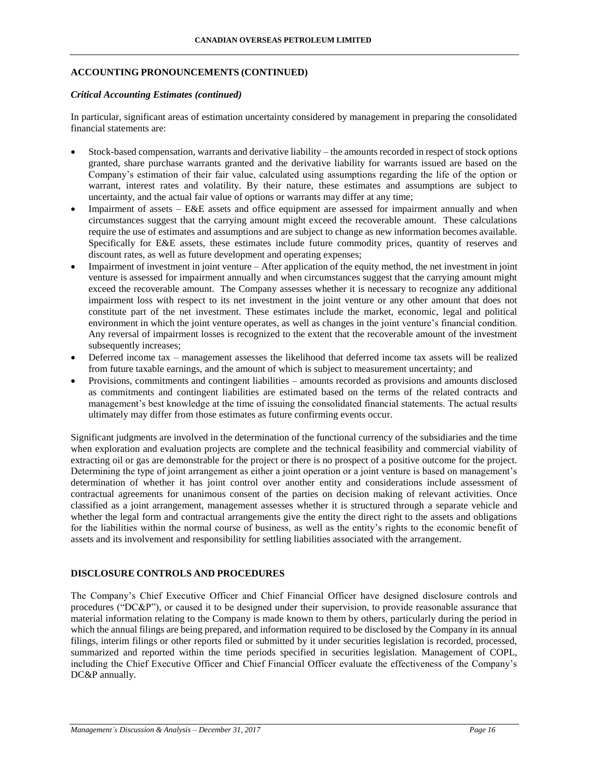### **ACCOUNTING PRONOUNCEMENTS (CONTINUED)**

#### *Critical Accounting Estimates (continued)*

In particular, significant areas of estimation uncertainty considered by management in preparing the consolidated financial statements are:

- Stock-based compensation, warrants and derivative liability the amounts recorded in respect of stock options granted, share purchase warrants granted and the derivative liability for warrants issued are based on the Company's estimation of their fair value, calculated using assumptions regarding the life of the option or warrant, interest rates and volatility. By their nature, these estimates and assumptions are subject to uncertainty, and the actual fair value of options or warrants may differ at any time;
- Impairment of assets E&E assets and office equipment are assessed for impairment annually and when circumstances suggest that the carrying amount might exceed the recoverable amount. These calculations require the use of estimates and assumptions and are subject to change as new information becomes available. Specifically for E&E assets, these estimates include future commodity prices, quantity of reserves and discount rates, as well as future development and operating expenses;
- Impairment of investment in joint venture After application of the equity method, the net investment in joint venture is assessed for impairment annually and when circumstances suggest that the carrying amount might exceed the recoverable amount. The Company assesses whether it is necessary to recognize any additional impairment loss with respect to its net investment in the joint venture or any other amount that does not constitute part of the net investment. These estimates include the market, economic, legal and political environment in which the joint venture operates, as well as changes in the joint venture's financial condition. Any reversal of impairment losses is recognized to the extent that the recoverable amount of the investment subsequently increases;
- Deferred income tax management assesses the likelihood that deferred income tax assets will be realized from future taxable earnings, and the amount of which is subject to measurement uncertainty; and
- Provisions, commitments and contingent liabilities amounts recorded as provisions and amounts disclosed as commitments and contingent liabilities are estimated based on the terms of the related contracts and management's best knowledge at the time of issuing the consolidated financial statements. The actual results ultimately may differ from those estimates as future confirming events occur.

Significant judgments are involved in the determination of the functional currency of the subsidiaries and the time when exploration and evaluation projects are complete and the technical feasibility and commercial viability of extracting oil or gas are demonstrable for the project or there is no prospect of a positive outcome for the project. Determining the type of joint arrangement as either a joint operation or a joint venture is based on management's determination of whether it has joint control over another entity and considerations include assessment of contractual agreements for unanimous consent of the parties on decision making of relevant activities. Once classified as a joint arrangement, management assesses whether it is structured through a separate vehicle and whether the legal form and contractual arrangements give the entity the direct right to the assets and obligations for the liabilities within the normal course of business, as well as the entity's rights to the economic benefit of assets and its involvement and responsibility for settling liabilities associated with the arrangement.

## **DISCLOSURE CONTROLS AND PROCEDURES**

The Company's Chief Executive Officer and Chief Financial Officer have designed disclosure controls and procedures ("DC&P"), or caused it to be designed under their supervision, to provide reasonable assurance that material information relating to the Company is made known to them by others, particularly during the period in which the annual filings are being prepared, and information required to be disclosed by the Company in its annual filings, interim filings or other reports filed or submitted by it under securities legislation is recorded, processed, summarized and reported within the time periods specified in securities legislation. Management of COPL, including the Chief Executive Officer and Chief Financial Officer evaluate the effectiveness of the Company's DC&P annually.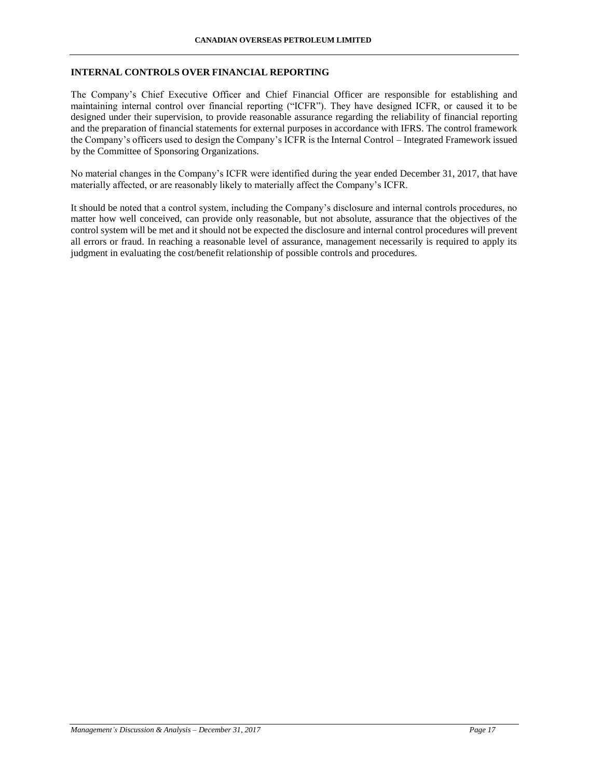## **INTERNAL CONTROLS OVER FINANCIAL REPORTING**

The Company's Chief Executive Officer and Chief Financial Officer are responsible for establishing and maintaining internal control over financial reporting ("ICFR"). They have designed ICFR, or caused it to be designed under their supervision, to provide reasonable assurance regarding the reliability of financial reporting and the preparation of financial statements for external purposes in accordance with IFRS. The control framework the Company's officers used to design the Company's ICFR is the Internal Control – Integrated Framework issued by the Committee of Sponsoring Organizations.

No material changes in the Company's ICFR were identified during the year ended December 31, 2017, that have materially affected, or are reasonably likely to materially affect the Company's ICFR.

It should be noted that a control system, including the Company's disclosure and internal controls procedures, no matter how well conceived, can provide only reasonable, but not absolute, assurance that the objectives of the control system will be met and it should not be expected the disclosure and internal control procedures will prevent all errors or fraud. In reaching a reasonable level of assurance, management necessarily is required to apply its judgment in evaluating the cost/benefit relationship of possible controls and procedures.